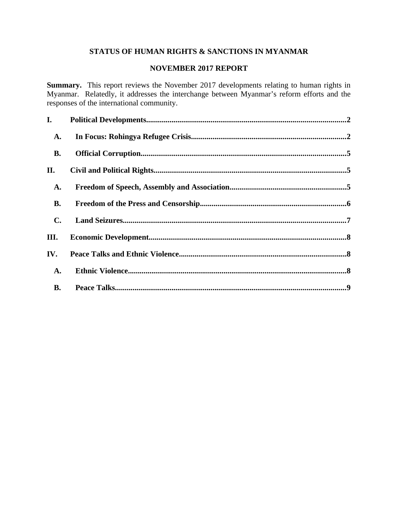# **STATUS OF HUMAN RIGHTS & SANCTIONS IN MYANMAR**

#### **NOVEMBER 2017 REPORT**

**Summary.** This report reviews the November 2017 developments relating to human rights in Myanmar. Relatedly, it addresses the interchange between Myanmar's reform efforts and the responses of the international community.

| I.             |  |
|----------------|--|
| A.             |  |
| <b>B.</b>      |  |
| II.            |  |
| A.             |  |
| <b>B.</b>      |  |
| $\mathbf{C}$ . |  |
| III.           |  |
| IV.            |  |
| A.             |  |
| <b>B.</b>      |  |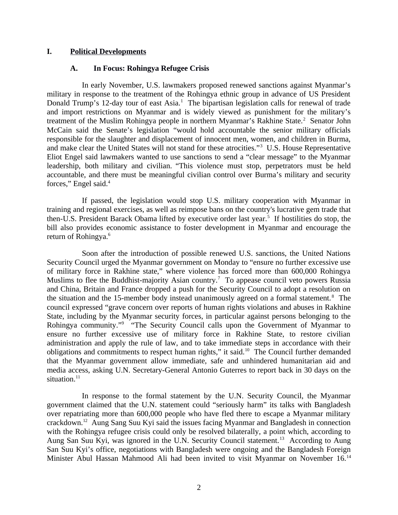#### **I. Political Developments**

#### <span id="page-1-1"></span><span id="page-1-0"></span>**A. In Focus: Rohingya Refugee Crisis**

In early November, U.S. lawmakers proposed renewed sanctions against Myanmar's military in response to the treatment of the Rohingya ethnic group in advance of US President Donald Trump's 12-day tour of east Asia.<sup>1</sup> The bipartisan legislation calls for renewal of trade and import restrictions on Myanmar and is widely viewed as punishment for the military's treatment of the Muslim Rohingya people in northern Myanmar's Rakhine State.<sup>2</sup> Senator John McCain said the Senate's legislation "would hold accountable the senior military officials responsible for the slaughter and displacement of innocent men, women, and children in Burma, and make clear the United States will not stand for these atrocities."<sup>3</sup> U.S. House Representative Eliot Engel said lawmakers wanted to use sanctions to send a "clear message" to the Myanmar leadership, both military and civilian. "This violence must stop, perpetrators must be held accountable, and there must be meaningful civilian control over Burma's military and security forces," Engel said.<sup>4</sup>

If passed, the legislation would stop U.S. military cooperation with Myanmar in training and regional exercises, as well as reimpose bans on the country's lucrative gem trade that then-U.S. President Barack Obama lifted by executive order last year.<sup>5</sup> If hostilities do stop, the bill also provides economic assistance to foster development in Myanmar and encourage the return of Rohingya.<sup>6</sup>

Soon after the introduction of possible renewed U.S. sanctions, the United Nations Security Council urged the Myanmar government on Monday to "ensure no further excessive use of military force in Rakhine state," where violence has forced more than 600,000 Rohingya Muslims to flee the Buddhist-majority Asian country.<sup>7</sup> To appease council veto powers Russia and China, Britain and France dropped a push for the Security Council to adopt a resolution on the situation and the 15-member body instead unanimously agreed on a formal statement.<sup>8</sup> The council expressed "grave concern over reports of human rights violations and abuses in Rakhine State, including by the Myanmar security forces, in particular against persons belonging to the Rohingya community."<sup>9</sup> "The Security Council calls upon the Government of Myanmar to ensure no further excessive use of military force in Rakhine State, to restore civilian administration and apply the rule of law, and to take immediate steps in accordance with their obligations and commitments to respect human rights," it said. $10$  The Council further demanded that the Myanmar government allow immediate, safe and unhindered humanitarian aid and media access, asking U.N. Secretary-General Antonio Guterres to report back in 30 days on the situation. $^{11}$ 

In response to the formal statement by the U.N. Security Council, the Myanmar government claimed that the U.N. statement could "seriously harm" its talks with Bangladesh over repatriating more than 600,000 people who have fled there to escape a Myanmar military crackdown.<sup>12</sup> Aung Sang Suu Kyi said the issues facing Myanmar and Bangladesh in connection with the Rohingya refugee crisis could only be resolved bilaterally, a point which, according to Aung San Suu Kyi, was ignored in the U.N. Security Council statement.<sup>13</sup> According to Aung San Suu Kyi's office, negotiations with Bangladesh were ongoing and the Bangladesh Foreign Minister Abul Hassan Mahmood Ali had been invited to visit Myanmar on November 16.<sup>14</sup>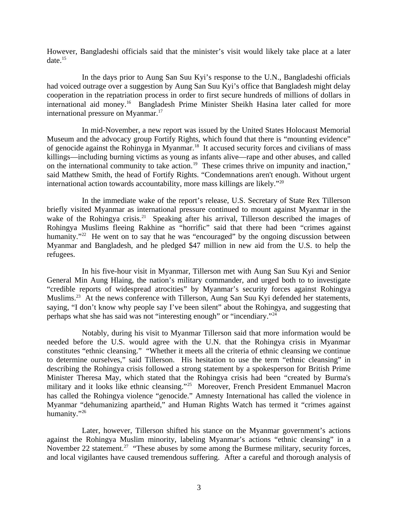However, Bangladeshi officials said that the minister's visit would likely take place at a later  $date.<sup>15</sup>$ 

In the days prior to Aung San Suu Kyi's response to the U.N., Bangladeshi officials had voiced outrage over a suggestion by Aung San Suu Kyi's office that Bangladesh might delay cooperation in the repatriation process in order to first secure hundreds of millions of dollars in international aid money.<sup>16</sup> Bangladesh Prime Minister Sheikh Hasina later called for more international pressure on Myanmar.<sup>17</sup>

In mid-November, a new report was issued by the United States Holocaust Memorial Museum and the advocacy group Fortify Rights, which found that there is "mounting evidence" of genocide against the Rohinyga in Myanmar.<sup>18</sup> It accused security forces and civilians of mass killings—including burning victims as young as infants alive—rape and other abuses, and called on the international community to take action.<sup>19</sup> These crimes thrive on impunity and inaction," said Matthew Smith, the head of Fortify Rights. "Condemnations aren't enough. Without urgent international action towards accountability, more mass killings are likely." $20$ 

In the immediate wake of the report's release, U.S. Secretary of State Rex Tillerson briefly visited Myanmar as international pressure continued to mount against Myanmar in the wake of the Rohingya crisis.<sup>21</sup> Speaking after his arrival, Tillerson described the images of Rohingya Muslims fleeing Rakhine as "horrific" said that there had been "crimes against humanity."<sup>22</sup> He went on to say that he was "encouraged" by the ongoing discussion between Myanmar and Bangladesh, and he pledged \$47 million in new aid from the U.S. to help the refugees.

In his five-hour visit in Myanmar, Tillerson met with Aung San Suu Kyi and Senior General Min Aung Hlaing, the nation's military commander, and urged both to to investigate "credible reports of widespread atrocities" by Myanmar's security forces against Rohingya Muslims.<sup>23</sup> At the news conference with Tillerson, Aung San Suu Kyi defended her statements, saying, "I don't know why people say I've been silent" about the Rohingya, and suggesting that perhaps what she has said was not "interesting enough" or "incendiary."<sup>24</sup>

Notably, during his visit to Myanmar Tillerson said that more information would be needed before the U.S. would agree with the U.N. that the Rohingya crisis in Myanmar constitutes "ethnic cleansing." "Whether it meets all the criteria of ethnic cleansing we continue to determine ourselves," said Tillerson. His hesitation to use the term "ethnic cleansing" in describing the Rohingya crisis followed a strong statement by a spokesperson for British Prime Minister Theresa May, which stated that the Rohingya crisis had been "created by Burma's military and it looks like ethnic cleansing."<sup>25</sup> Moreover, French President Emmanuel Macron has called the Rohingya violence "genocide." Amnesty International has called the violence in Myanmar "dehumanizing apartheid," and Human Rights Watch has termed it "crimes against humanity."<sup>26</sup>

Later, however, Tillerson shifted his stance on the Myanmar government's actions against the Rohingya Muslim minority, labeling Myanmar's actions "ethnic cleansing" in a November 22 statement.<sup>27</sup> "These abuses by some among the Burmese military, security forces, and local vigilantes have caused tremendous suffering. After a careful and thorough analysis of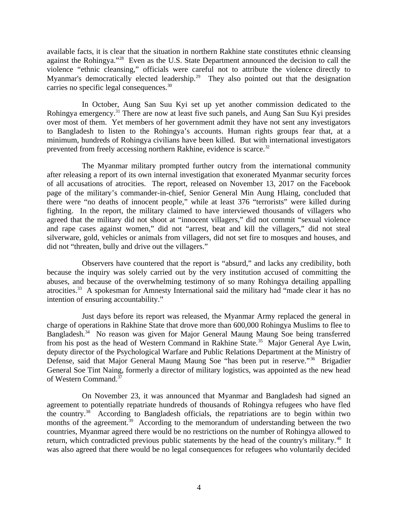available facts, it is clear that the situation in northern Rakhine state constitutes ethnic cleansing against the Rohingya."<sup>28</sup> Even as the U.S. State Department announced the decision to call the violence "ethnic cleansing," officials were careful not to attribute the violence directly to Myanmar's democratically elected leadership.<sup>29</sup> They also pointed out that the designation carries no specific legal consequences.<sup>30</sup>

In October, Aung San Suu Kyi set up yet another commission dedicated to the Rohingya emergency.<sup>31</sup> There are now at least five such panels, and Aung San Suu Kyi presides over most of them. Yet members of her government admit they have not sent any investigators to Bangladesh to listen to the Rohingya's accounts. Human rights groups fear that, at a minimum, hundreds of Rohingya civilians have been killed. But with international investigators prevented from freely accessing northern Rakhine, evidence is scarce.<sup>32</sup>

The Myanmar military prompted further outcry from the international community after releasing a report of its own internal investigation that exonerated Myanmar security forces of all accusations of atrocities. The report, released on November 13, 2017 on the Facebook page of the military's commander-in-chief, Senior General Min Aung Hlaing, concluded that there were "no deaths of innocent people," while at least 376 "terrorists" were killed during fighting. In the report, the military claimed to have interviewed thousands of villagers who agreed that the military did not shoot at "innocent villagers," did not commit "sexual violence and rape cases against women," did not "arrest, beat and kill the villagers," did not steal silverware, gold, vehicles or animals from villagers, did not set fire to mosques and houses, and did not "threaten, bully and drive out the villagers."

Observers have countered that the report is "absurd," and lacks any credibility, both because the inquiry was solely carried out by the very institution accused of committing the abuses, and because of the overwhelming testimony of so many Rohingya detailing appalling atrocities.<sup>33</sup> A spokesman for Amnesty International said the military had "made clear it has no intention of ensuring accountability."

Just days before its report was released, the Myanmar Army replaced the general in charge of operations in Rakhine State that drove more than 600,000 Rohingya Muslims to flee to Bangladesh.<sup>34</sup> No reason was given for Major General Maung Maung Soe being transferred from his post as the head of Western Command in Rakhine State.<sup>35</sup> Major General Aye Lwin, deputy director of the Psychological Warfare and Public Relations Department at the Ministry of Defense, said that Major General Maung Maung Soe "has been put in reserve."<sup>36</sup> Brigadier General Soe Tint Naing, formerly a director of military logistics, was appointed as the new head of Western Command.<sup>37</sup>

On November 23, it was announced that Myanmar and Bangladesh had signed an agreement to potentially repatriate hundreds of thousands of Rohingya refugees who have fled the country.<sup>38</sup> According to Bangladesh officials, the repatriations are to begin within two months of the agreement.<sup>39</sup> According to the memorandum of understanding between the two countries, Myanmar agreed there would be no restrictions on the number of Rohingya allowed to return, which contradicted previous public statements by the head of the country's military.<sup>40</sup> It was also agreed that there would be no legal consequences for refugees who voluntarily decided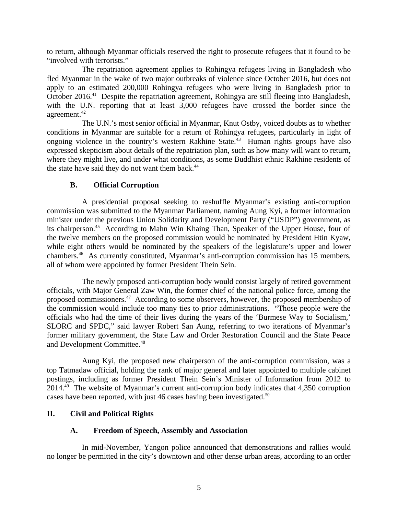to return, although Myanmar officials reserved the right to prosecute refugees that it found to be "involved with terrorists."

The repatriation agreement applies to Rohingya refugees living in Bangladesh who fled Myanmar in the wake of two major outbreaks of violence since October 2016, but does not apply to an estimated 200,000 Rohingya refugees who were living in Bangladesh prior to October 2016.<sup>41</sup> Despite the repatriation agreement, Rohingya are still fleeing into Bangladesh, with the U.N. reporting that at least 3,000 refugees have crossed the border since the agreement.<sup>42</sup>

The U.N.'s most senior official in Myanmar, Knut Ostby, voiced doubts as to whether conditions in Myanmar are suitable for a return of Rohingya refugees, particularly in light of ongoing violence in the country's western Rakhine State.<sup> $43$ </sup> Human rights groups have also expressed skepticism about details of the repatriation plan, such as how many will want to return, where they might live, and under what conditions, as some Buddhist ethnic Rakhine residents of the state have said they do not want them back.<sup>44</sup>

# <span id="page-4-2"></span>**B. Official Corruption**

A presidential proposal seeking to reshuffle Myanmar's existing anti-corruption commission was submitted to the Myanmar Parliament, naming Aung Kyi, a former information minister under the previous Union Solidarity and Development Party ("USDP") government, as its chairperson.<sup>45</sup> According to Mahn Win Khaing Than, Speaker of the Upper House, four of the twelve members on the proposed commission would be nominated by President Htin Kyaw, while eight others would be nominated by the speakers of the legislature's upper and lower chambers.<sup>46</sup> As currently constituted, Myanmar's anti-corruption commission has 15 members, all of whom were appointed by former President Thein Sein.

The newly proposed anti-corruption body would consist largely of retired government officials, with Major General Zaw Win, the former chief of the national police force, among the proposed commissioners.<sup>47</sup> According to some observers, however, the proposed membership of the commission would include too many ties to prior administrations. "Those people were the officials who had the time of their lives during the years of the 'Burmese Way to Socialism,' SLORC and SPDC," said lawyer Robert San Aung, referring to two iterations of Myanmar's former military government, the State Law and Order Restoration Council and the State Peace and Development Committee.<sup>48</sup>

Aung Kyi, the proposed new chairperson of the anti-corruption commission, was a top Tatmadaw official, holding the rank of major general and later appointed to multiple cabinet postings, including as former President Thein Sein's Minister of Information from 2012 to  $2014.<sup>49</sup>$  The website of Myanmar's current anti-corruption body indicates that 4,350 corruption cases have been reported, with just 46 cases having been investigated.<sup>50</sup>

# **II. Civil and Political Rights**

#### <span id="page-4-1"></span><span id="page-4-0"></span>**A. Freedom of Speech, Assembly and Association**

In mid-November, Yangon police announced that demonstrations and rallies would no longer be permitted in the city's downtown and other dense urban areas, according to an order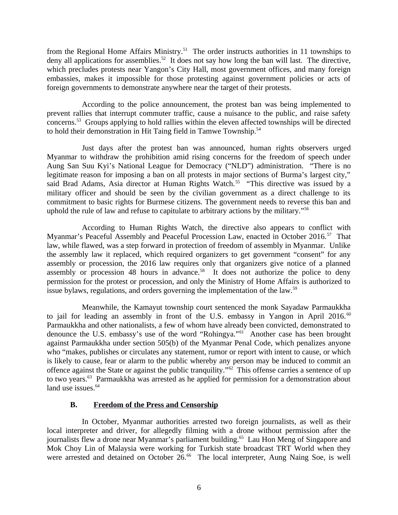from the Regional Home Affairs Ministry.<sup>51</sup> The order instructs authorities in 11 townships to deny all applications for assemblies.<sup>52</sup> It does not say how long the ban will last. The directive, which precludes protests near Yangon's City Hall, most government offices, and many foreign embassies, makes it impossible for those protesting against government policies or acts of foreign governments to demonstrate anywhere near the target of their protests.

According to the police announcement, the protest ban was being implemented to prevent rallies that interrupt commuter traffic, cause a nuisance to the public, and raise safety concerns.<sup>53</sup> Groups applying to hold rallies within the eleven affected townships will be directed to hold their demonstration in Hit Taing field in Tamwe Township.<sup>54</sup>

Just days after the protest ban was announced, human rights observers urged Myanmar to withdraw the prohibition amid rising concerns for the freedom of speech under Aung San Suu Kyi's National League for Democracy ("NLD") administration. "There is no legitimate reason for imposing a ban on all protests in major sections of Burma's largest city," said Brad Adams, Asia director at Human Rights Watch.<sup>55</sup> "This directive was issued by a military officer and should be seen by the civilian government as a direct challenge to its commitment to basic rights for Burmese citizens. The government needs to reverse this ban and uphold the rule of law and refuse to capitulate to arbitrary actions by the military."<sup>56</sup>

According to Human Rights Watch, the directive also appears to conflict with Myanmar's Peaceful Assembly and Peaceful Procession Law, enacted in October 2016.<sup>57</sup> That law, while flawed, was a step forward in protection of freedom of assembly in Myanmar. Unlike the assembly law it replaced, which required organizers to get government "consent" for any assembly or procession, the 2016 law requires only that organizers give notice of a planned assembly or procession 48 hours in advance.<sup>58</sup> It does not authorize the police to deny permission for the protest or procession, and only the Ministry of Home Affairs is authorized to issue bylaws, regulations, and orders governing the implementation of the law.<sup>59</sup>

Meanwhile, the Kamayut township court sentenced the monk Sayadaw Parmaukkha to jail for leading an assembly in front of the U.S. embassy in Yangon in April 2016. $^{60}$ Parmaukkha and other nationalists, a few of whom have already been convicted, demonstrated to denounce the U.S. embassy's use of the word "Rohingya."<sup>61</sup> Another case has been brought against Parmaukkha under section 505(b) of the Myanmar Penal Code, which penalizes anyone who "makes, publishes or circulates any statement, rumor or report with intent to cause, or which is likely to cause, fear or alarm to the public whereby any person may be induced to commit an offence against the State or against the public tranquility."<sup>62</sup> This offense carries a sentence of up to two years.<sup>63</sup> Parmaukkha was arrested as he applied for permission for a demonstration about land use issues.<sup>64</sup>

# <span id="page-5-0"></span>**B. Freedom of the Press and Censorship**

In October, Myanmar authorities arrested two foreign journalists, as well as their local interpreter and driver, for allegedly filming with a drone without permission after the journalists flew a drone near Myanmar's parliament building.<sup>65</sup> Lau Hon Meng of Singapore and Mok Choy Lin of Malaysia were working for Turkish state broadcast TRT World when they were arrested and detained on October 26.<sup>66</sup> The local interpreter, Aung Naing Soe, is well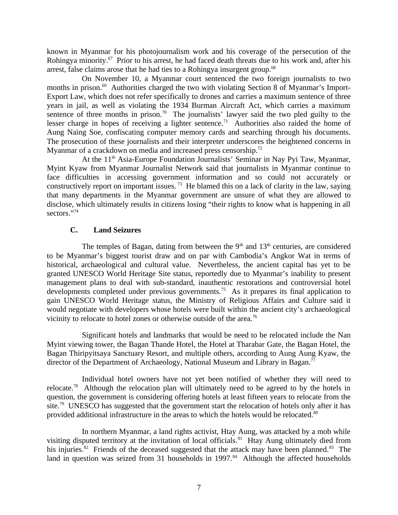known in Myanmar for his photojournalism work and his coverage of the persecution of the Rohingya minority.<sup>67</sup> Prior to his arrest, he had faced death threats due to his work and, after his arrest, false claims arose that he had ties to a Rohingya insurgent group.  $68$ 

On November 10, a Myanmar court sentenced the two foreign journalists to two months in prison.<sup>69</sup> Authorities charged the two with violating Section 8 of Myanmar's Import-Export Law, which does not refer specifically to drones and carries a maximum sentence of three years in jail, as well as violating the 1934 Burman Aircraft Act, which carries a maximum sentence of three months in prison.<sup>70</sup> The journalists' lawyer said the two pled guilty to the lesser charge in hopes of receiving a lighter sentence.<sup>71</sup> Authorities also raided the home of Aung Naing Soe, confiscating computer memory cards and searching through his documents. The prosecution of these journalists and their interpreter underscores the heightened concerns in Myanmar of a crackdown on media and increased press censorship.<sup>72</sup>

At the  $11<sup>th</sup>$  Asia-Europe Foundation Journalists' Seminar in Nay Pyi Taw, Myanmar, Myint Kyaw from Myanmar Journalist Network said that journalists in Myanmar continue to face difficulties in accessing government information and so could not accurately or constructively report on important issues.<sup>73</sup> He blamed this on a lack of clarity in the law, saying that many departments in the Myanmar government are unsure of what they are allowed to disclose, which ultimately results in citizens losing "their rights to know what is happening in all sectors."<sup>74</sup>

# <span id="page-6-0"></span>**C. Land Seizures**

The temples of Bagan, dating from between the  $9<sup>th</sup>$  and  $13<sup>th</sup>$  centuries, are considered to be Myanmar's biggest tourist draw and on par with Cambodia's Angkor Wat in terms of historical, archaeological and cultural value. Nevertheless, the ancient capital has yet to be granted UNESCO World Heritage Site status, reportedly due to Myanmar's inability to present management plans to deal with sub-standard, inauthentic restorations and controversial hotel developments completed under previous governments.<sup>75</sup> As it prepares its final application to gain UNESCO World Heritage status, the Ministry of Religious Affairs and Culture said it would negotiate with developers whose hotels were built within the ancient city's archaeological vicinity to relocate to hotel zones or otherwise outside of the area.<sup>76</sup>

Significant hotels and landmarks that would be need to be relocated include the Nan Myint viewing tower, the Bagan Thande Hotel, the Hotel at Tharabar Gate, the Bagan Hotel, the Bagan Thiripyitsaya Sanctuary Resort, and multiple others, according to Aung Aung Kyaw, the director of the Department of Archaeology, National Museum and Library in Bagan.<sup>77</sup>

Individual hotel owners have not yet been notified of whether they will need to relocate.<sup>78</sup> Although the relocation plan will ultimately need to be agreed to by the hotels in question, the government is considering offering hotels at least fifteen years to relocate from the site.<sup>79</sup> UNESCO has suggested that the government start the relocation of hotels only after it has provided additional infrastructure in the areas to which the hotels would be relocated.<sup>80</sup>

In northern Myanmar, a land rights activist, Htay Aung, was attacked by a mob while visiting disputed territory at the invitation of local officials.<sup>81</sup> Htay Aung ultimately died from his injuries.<sup>82</sup> Friends of the deceased suggested that the attack may have been planned.<sup>83</sup> The land in question was seized from 31 households in 1997. $34$  Although the affected households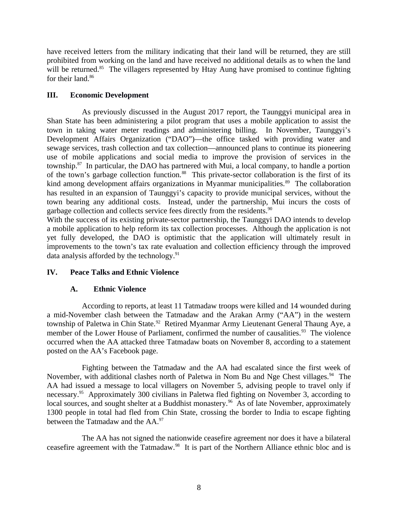have received letters from the military indicating that their land will be returned, they are still prohibited from working on the land and have received no additional details as to when the land will be returned. $85$  The villagers represented by Htay Aung have promised to continue fighting for their land.<sup>86</sup>

# <span id="page-7-2"></span>**III. Economic Development**

As previously discussed in the August 2017 report, the Taunggyi municipal area in Shan State has been administering a pilot program that uses a mobile application to assist the town in taking water meter readings and administering billing. In November, Taunggyi's Development Affairs Organization ("DAO")—the office tasked with providing water and sewage services, trash collection and tax collection—announced plans to continue its pioneering use of mobile applications and social media to improve the provision of services in the township.<sup>87</sup> In particular, the DAO has partnered with Mui, a local company, to handle a portion of the town's garbage collection function.<sup>88</sup> This private-sector collaboration is the first of its kind among development affairs organizations in Myanmar municipalities.<sup>89</sup> The collaboration has resulted in an expansion of Taunggyi's capacity to provide municipal services, without the town bearing any additional costs. Instead, under the partnership, Mui incurs the costs of garbage collection and collects service fees directly from the residents. $^{90}$ 

With the success of its existing private-sector partnership, the Taunggyi DAO intends to develop a mobile application to help reform its tax collection processes. Although the application is not yet fully developed, the DAO is optimistic that the application will ultimately result in improvements to the town's tax rate evaluation and collection efficiency through the improved data analysis afforded by the technology. $91$ 

# **IV. Peace Talks and Ethnic Violence**

# <span id="page-7-1"></span><span id="page-7-0"></span>**A. Ethnic Violence**

According to reports, at least 11 Tatmadaw troops were killed and 14 wounded during a mid-November clash between the Tatmadaw and the Arakan Army ("AA") in the western township of Paletwa in Chin State.<sup>92</sup> Retired Myanmar Army Lieutenant General Thaung Aye, a member of the Lower House of Parliament, confirmed the number of causalities.<sup>93</sup> The violence occurred when the AA attacked three Tatmadaw boats on November 8, according to a statement posted on the AA's Facebook page.

Fighting between the Tatmadaw and the AA had escalated since the first week of November, with additional clashes north of Paletwa in Nom Bu and Nge Chest villages.<sup>94</sup> The AA had issued a message to local villagers on November 5, advising people to travel only if necessary.<sup>95</sup> Approximately 300 civilians in Paletwa fled fighting on November 3, according to local sources, and sought shelter at a Buddhist monastery.<sup>96</sup> As of late November, approximately 1300 people in total had fled from Chin State, crossing the border to India to escape fighting between the Tatmadaw and the AA.<sup>97</sup>

The AA has not signed the nationwide ceasefire agreement nor does it have a bilateral ceasefire agreement with the Tatmadaw.<sup>98</sup> It is part of the Northern Alliance ethnic bloc and is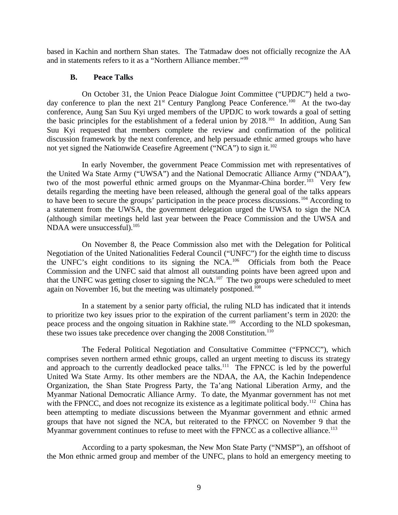based in Kachin and northern Shan states. The Tatmadaw does not officially recognize the AA and in statements refers to it as a "Northern Alliance member."<sup>99</sup>

#### <span id="page-8-0"></span>**B. Peace Talks**

On October 31, the Union Peace Dialogue Joint Committee ("UPDJC") held a twoday conference to plan the next  $21^{st}$  Century Panglong Peace Conference.<sup>100</sup> At the two-day conference, Aung San Suu Kyi urged members of the UPDJC to work towards a goal of setting the basic principles for the establishment of a federal union by  $2018$ <sup>101</sup> In addition, Aung San Suu Kyi requested that members complete the review and confirmation of the political discussion framework by the next conference, and help persuade ethnic armed groups who have not yet signed the Nationwide Ceasefire Agreement ("NCA") to sign it.<sup>102</sup>

In early November, the government Peace Commission met with representatives of the United Wa State Army ("UWSA") and the National Democratic Alliance Army ("NDAA"), two of the most powerful ethnic armed groups on the Myanmar-China border.<sup>103</sup> Very few details regarding the meeting have been released, although the general goal of the talks appears to have been to secure the groups' participation in the peace process discussions.<sup>104</sup> According to a statement from the UWSA, the government delegation urged the UWSA to sign the NCA (although similar meetings held last year between the Peace Commission and the UWSA and NDAA were unsuccessful). $^{105}$ 

On November 8, the Peace Commission also met with the Delegation for Political Negotiation of the United Nationalities Federal Council ("UNFC") for the eighth time to discuss the UNFC's eight conditions to its signing the NCA.<sup>106</sup> Officials from both the Peace Commission and the UNFC said that almost all outstanding points have been agreed upon and that the UNFC was getting closer to signing the NCA.<sup>107</sup> The two groups were scheduled to meet again on November 16, but the meeting was ultimately postponed.<sup>108</sup>

In a statement by a senior party official, the ruling NLD has indicated that it intends to prioritize two key issues prior to the expiration of the current parliament's term in 2020: the peace process and the ongoing situation in Rakhine state.<sup>109</sup> According to the NLD spokesman, these two issues take precedence over changing the  $2008$  Constitution.<sup>110</sup>

The Federal Political Negotiation and Consultative Committee ("FPNCC"), which comprises seven northern armed ethnic groups, called an urgent meeting to discuss its strategy and approach to the currently deadlocked peace talks.<sup>111</sup> The FPNCC is led by the powerful United Wa State Army. Its other members are the NDAA, the AA, the Kachin Independence Organization, the Shan State Progress Party, the Ta'ang National Liberation Army, and the Myanmar National Democratic Alliance Army. To date, the Myanmar government has not met with the FPNCC, and does not recognize its existence as a legitimate political body.<sup>112</sup> China has been attempting to mediate discussions between the Myanmar government and ethnic armed groups that have not signed the NCA, but reiterated to the FPNCC on November 9 that the Myanmar government continues to refuse to meet with the FPNCC as a collective alliance.<sup>113</sup>

According to a party spokesman, the New Mon State Party ("NMSP"), an offshoot of the Mon ethnic armed group and member of the UNFC, plans to hold an emergency meeting to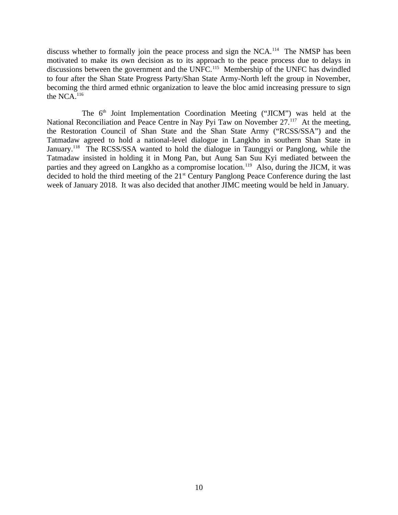discuss whether to formally join the peace process and sign the NCA.<sup>114</sup> The NMSP has been motivated to make its own decision as to its approach to the peace process due to delays in discussions between the government and the UNFC.<sup>115</sup> Membership of the UNFC has dwindled to four after the Shan State Progress Party/Shan State Army-North left the group in November, becoming the third armed ethnic organization to leave the bloc amid increasing pressure to sign the NCA.<sup>116</sup>

The  $6<sup>th</sup>$  Joint Implementation Coordination Meeting ("JICM") was held at the National Reconciliation and Peace Centre in Nay Pyi Taw on November 27.<sup>117</sup> At the meeting, the Restoration Council of Shan State and the Shan State Army ("RCSS/SSA") and the Tatmadaw agreed to hold a national-level dialogue in Langkho in southern Shan State in January.<sup>118</sup> The RCSS/SSA wanted to hold the dialogue in Taunggyi or Panglong, while the Tatmadaw insisted in holding it in Mong Pan, but Aung San Suu Kyi mediated between the parties and they agreed on Langkho as a compromise location.<sup>119</sup> Also, during the JICM, it was decided to hold the third meeting of the 21<sup>st</sup> Century Panglong Peace Conference during the last week of January 2018. It was also decided that another JIMC meeting would be held in January.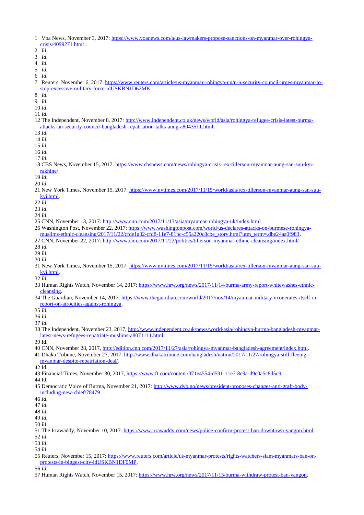- 1 Voa News, November 3, 2017: [https://www.voanews.com/a/us-lawmakers-propose-sanctions-on-myanmar-over-rohingya](https://www.voanews.com/a/us-lawmakers-propose-sanctions-on-myanmar-over-rohingya-crisis/4099271.html)[crisis/4099271.html](https://www.voanews.com/a/us-lawmakers-propose-sanctions-on-myanmar-over-rohingya-crisis/4099271.html) .
- 2 *Id*.
- 3 *Id*.
- 4 *Id*.
- 5 *Id*.
- 6 *Id*.
- 7 Reuters, November 6, 2017: [https://www.reuters.com/article/us-myanmar-rohingya-un/u-n-security-council-urges-myanmar-to](https://www.reuters.com/article/us-myanmar-rohingya-un/u-n-security-council-urges-myanmar-to-stop-excessive-military-force-idUSKBN1D62MK)[stop-excessive-military-force-idUSKBN1D62MK](https://www.reuters.com/article/us-myanmar-rohingya-un/u-n-security-council-urges-myanmar-to-stop-excessive-military-force-idUSKBN1D62MK)
- 8 *Id*.
- 9 *Id*.
- 10 *Id*.
- 11 *Id*.
- 12 The Independent, November 8, 2017: [http://www.independent.co.uk/news/world/asia/rohingya-refugee-crisis-latest-burma](http://www.independent.co.uk/news/world/asia/rohingya-refugee-crisis-latest-burma-attacks-un-security-council-bangladesh-repatriation-talks-aung-a8043511.html)[attacks-un-security-council-bangladesh-repatriation-talks-aung-a8043511.html.](http://www.independent.co.uk/news/world/asia/rohingya-refugee-crisis-latest-burma-attacks-un-security-council-bangladesh-repatriation-talks-aung-a8043511.html)
- 13 *Id*.
- 14 *Id*.
- 15 *Id*.
- 16 *Id*.

17 *Id*.

- 18 CBS News, November 15, 2017: [https://www.cbsnews.com/news/rohingya-crisis-rex-tillerson-myanmar-aung-san-suu-kyi](https://www.cbsnews.com/news/rohingya-crisis-rex-tillerson-myanmar-aung-san-suu-kyi-rakhine/)[rakhine/.](https://www.cbsnews.com/news/rohingya-crisis-rex-tillerson-myanmar-aung-san-suu-kyi-rakhine/)
- 19 *Id*.
- 20 *Id*.
- 21 New York Times, November 15, 2017: [https://www.nytimes.com/2017/11/15/world/asia/rex-tillerson-myanmar-aung-san-suu](https://www.nytimes.com/2017/11/15/world/asia/rex-tillerson-myanmar-aung-san-suu-kyi.html)[kyi.html.](https://www.nytimes.com/2017/11/15/world/asia/rex-tillerson-myanmar-aung-san-suu-kyi.html)
- 22 *Id*.
- 23 *Id*.
- 24 *Id*.
- 25 CNN, November 13, 2017:<http://www.cnn.com/2017/11/13/asia/myanmar-rohingya-uk/index.html>
- 26 Washington Post, November 22, 2017: [https://www.washingtonpost.com/world/us-declares-attacks-on-burmese-rohingya-](https://www.washingtonpost.com/world/us-declares-attacks-on-burmese-rohingya-muslims-ethnic-cleansing/2017/11/22/cfde1a32-cfd8-11e7-81bc-c55a220c8cbe_story.html?utm_term=.dbe24aa0f983)
- [muslims-ethnic-cleansing/2017/11/22/cfde1a32-cfd8-11e7-81bc-c55a220c8cbe\\_story.html?utm\\_term=.dbe24aa0f983.](https://www.washingtonpost.com/world/us-declares-attacks-on-burmese-rohingya-muslims-ethnic-cleansing/2017/11/22/cfde1a32-cfd8-11e7-81bc-c55a220c8cbe_story.html?utm_term=.dbe24aa0f983)
- 27 CNN, November 22, 2017:<http://www.cnn.com/2017/11/22/politics/tillerson-myanmar-ethnic-cleansing/index.html/>
- 28 *Id*.
- 29 *Id*.
- 30 *Id*.
- 31 New York Times, November 15, 2017: [https://www.nytimes.com/2017/11/15/world/asia/rex-tillerson-myanmar-aung-san-suu](https://www.nytimes.com/2017/11/15/world/asia/rex-tillerson-myanmar-aung-san-suu-kyi.html)[kyi.html.](https://www.nytimes.com/2017/11/15/world/asia/rex-tillerson-myanmar-aung-san-suu-kyi.html)
- 32 *Id*.
- 33 Human Rights Watch, November 14, 2017: [https://www.hrw.org/news/2017/11/14/burma-army-report-whitewashes-ethnic](https://www.hrw.org/news/2017/11/14/burma-army-report-whitewashes-ethnic-cleansing)**cleansing**
- 34 The Guardian, November 14, 2017: [https://www.theguardian.com/world/2017/nov/14/myanmar-military-exonerates-itself-in](https://www.theguardian.com/world/2017/nov/14/myanmar-military-exonerates-itself-in-report-on-atrocities-against-rohingya)[report-on-atrocities-against-rohingya.](https://www.theguardian.com/world/2017/nov/14/myanmar-military-exonerates-itself-in-report-on-atrocities-against-rohingya)

35 *Id*.

36 *Id*.

37 *Id*.

38 The Independent, November 23, 2017, [http://www.independent.co.uk/news/world/asia/rohingya-burma-bangladesh-myanmar](http://www.independent.co.uk/news/world/asia/rohingya-burma-bangladesh-myanmar-latest-news-refugees-repatriate-muslims-a8071111.html)[latest-news-refugees-repatriate-muslims-a8071111.html.](http://www.independent.co.uk/news/world/asia/rohingya-burma-bangladesh-myanmar-latest-news-refugees-repatriate-muslims-a8071111.html)

39 Id.

- 40 CNN, November 28, 2017, [http://edition.cnn.com/2017/11/27/asia/rohingya-myanmar-bangladesh-agreement/index.html.](http://edition.cnn.com/2017/11/27/asia/rohingya-myanmar-bangladesh-agreement/index.html)
- 41 Dhaka Tribune, November 27, 2017, [http://www.dhakatribune.com/bangladesh/nation/2017/11/27/rohingya-still-fleeing](http://www.dhakatribune.com/bangladesh/nation/2017/11/27/rohingya-still-fleeing-myanmar-despite-repatriation-deal/)[myanmar-despite-repatriation-deal/.](http://www.dhakatribune.com/bangladesh/nation/2017/11/27/rohingya-still-fleeing-myanmar-despite-repatriation-deal/)
- 42 Id.
- 43 Financial Times, November 30, 2017, [https://www.ft.com/content/071e4554-d591-11e7-8c9a-d9c0a5c8d5c9.](https://www.ft.com/content/071e4554-d591-11e7-8c9a-d9c0a5c8d5c9)

44 Id.

- 45 Democratic Voice of Burma, November 21, 2017: [http://www.dvb.no/news/president-proposes-changes-anti-graft-body](http://www.dvb.no/news/president-proposes-changes-anti-graft-body-including-new-chief/78479)[including-new-chief/78479](http://www.dvb.no/news/president-proposes-changes-anti-graft-body-including-new-chief/78479)
- 46 *Id*.

47 *Id*.

48 *Id*. 49 *Id*.

50 *Id*.

- 
- 51 The Irrawaddy, November 10, 2017:<https://www.irrawaddy.com/news/police-confirm-protest-ban-downtown-yangon.html> 52 *Id*.

53 *Id*. 54 *Id*.

55 Reuters, November 15, 2017: [https://www.reuters.com/article/us-myanmar-protests/rights-watchers-slam-myanmars-ban-on](https://www.reuters.com/article/us-myanmar-protests/rights-watchers-slam-myanmars-ban-on-protests-in-biggest-city-idUSKBN1DF0MP)[protests-in-biggest-city-idUSKBN1DF0MP.](https://www.reuters.com/article/us-myanmar-protests/rights-watchers-slam-myanmars-ban-on-protests-in-biggest-city-idUSKBN1DF0MP)

56 *Id*.

57 Human Rights Watch, November 15, 2017: [https://www.hrw.org/news/2017/11/15/burma-withdraw-protest-ban-yangon.](https://www.hrw.org/news/2017/11/15/burma-withdraw-protest-ban-yangon)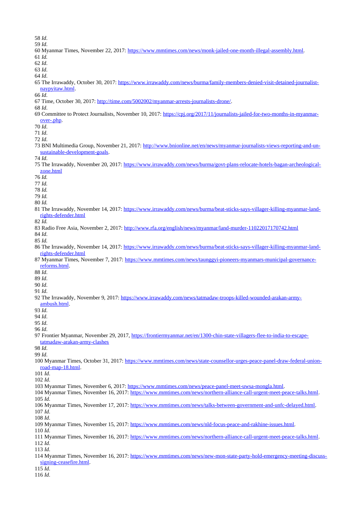- *Id*.
- *Id*.
- 60 Myanmar Times, November 22, 2017: [https://www.mmtimes.com/news/monk-jailed-one-month-illegal-assembly.html.](https://www.mmtimes.com/news/monk-jailed-one-month-illegal-assembly.html)
- *Id.*
- *Id*.
- *Id*.
- *Id*.
- 65 The Irrawaddy, October 30, 2017: [https://www.irrawaddy.com/news/burma/family-members-denied-visit-detained-journalist](https://www.irrawaddy.com/news/burma/family-members-denied-visit-detained-journalist-naypyitaw.html)[naypyitaw.html.](https://www.irrawaddy.com/news/burma/family-members-denied-visit-detained-journalist-naypyitaw.html)
- *Id*.
- 67 Time, October 30, 2017: [http://time.com/5002002/myanmar-arrests-journalists-drone/.](http://time.com/5002002/myanmar-arrests-journalists-drone/)
- *Id*.
- 69 Committee to Protect Journalists, November 10, 2017: [https://cpj.org/2017/11/journalists-jailed-for-two-months-in-myanmar](https://cpj.org/2017/11/journalists-jailed-for-two-months-in-myanmar-over-.php)[over-.php.](https://cpj.org/2017/11/journalists-jailed-for-two-months-in-myanmar-over-.php)
- *Id*.

*Id*.

- *Id*.
- 73 BNI Multimedia Group, November 21, 2017: [http://www.bnionline.net/en/news/myanmar-journalists-views-reporting-and-un](http://www.bnionline.net/en/news/myanmar-journalists-views-reporting-and-un-sustainable-development-goals)[sustainable-development-goals.](http://www.bnionline.net/en/news/myanmar-journalists-views-reporting-and-un-sustainable-development-goals)
- *Id*.
- 75 The Irrawaddy, November 20, 2017: [https://www.irrawaddy.com/news/burma/govt-plans-relocate-hotels-bagan-archeological](https://www.irrawaddy.com/news/burma/govt-plans-relocate-hotels-bagan-archeological-zone.html)[zone.html](https://www.irrawaddy.com/news/burma/govt-plans-relocate-hotels-bagan-archeological-zone.html)
- *Id.*
- *Id.*

*Id.*

- *Id.*
- *Id.*
- 81 The Irrawaddy, November 14, 2017: [https://www.irrawaddy.com/news/burma/beat-sticks-says-villager-killing-myanmar-land](https://www.irrawaddy.com/news/burma/beat-sticks-says-villager-killing-myanmar-land-rights-defender.html)[rights-defender.html](https://www.irrawaddy.com/news/burma/beat-sticks-says-villager-killing-myanmar-land-rights-defender.html)
- *Id.*
- 83 Radio Free Asia, November 2, 2017:<http://www.rfa.org/english/news/myanmar/land-murder-11022017170742.html>

*Id*.

- *Id.*
- 86 The Irrawaddy, November 14, 2017: [https://www.irrawaddy.com/news/burma/beat-sticks-says-villager-killing-myanmar-land](https://www.irrawaddy.com/news/burma/beat-sticks-says-villager-killing-myanmar-land-rights-defender.html)[rights-defender.html](https://www.irrawaddy.com/news/burma/beat-sticks-says-villager-killing-myanmar-land-rights-defender.html)
- 87 Myanmar Times, November 7, 2017: [https://www.mmtimes.com/news/taunggyi-pioneers-myanmars-municipal-governance](https://www.mmtimes.com/news/taunggyi-pioneers-myanmars-municipal-governance-reforms.html)[reforms.html.](https://www.mmtimes.com/news/taunggyi-pioneers-myanmars-municipal-governance-reforms.html)
- *Id*.
- *Id*.
- *Id*.
- *Id*.
- 92 The Irrawaddy, November 9, 2017: [https://www.irrawaddy.com/news/tatmadaw-troops-killed-wounded-arakan-army](https://www.irrawaddy.com/news/tatmadaw-troops-killed-wounded-arakan-army-ambush.html)[ambush.html.](https://www.irrawaddy.com/news/tatmadaw-troops-killed-wounded-arakan-army-ambush.html)
- 
- *Id*. *Id*.

*Id*.

*Id*.

- 
- Frontier Myanmar, November 29, 2017, [https://frontiermyanmar.net/en/1300-chin-state-villagers-flee-to-india-to-escape](https://frontiermyanmar.net/en/1300-chin-state-villagers-flee-to-india-to-escape-tatmadaw-arakan-army-clashes)[tatmadaw-arakan-army-clashes](https://frontiermyanmar.net/en/1300-chin-state-villagers-flee-to-india-to-escape-tatmadaw-arakan-army-clashes)
- *Id*.
- *Id*.
- Myanmar Times, October 31, 2017: [https://www.mmtimes.com/news/state-counsellor-urges-peace-panel-draw-federal-union](https://www.mmtimes.com/news/state-counsellor-urges-peace-panel-draw-federal-union-road-map-18.html)[road-map-18.html.](https://www.mmtimes.com/news/state-counsellor-urges-peace-panel-draw-federal-union-road-map-18.html)
- *Id*.
- *Id*.
- Myanmar Times, November 6, 2017: [https://www.mmtimes.com/news/peace-panel-meet-uwsa-mongla.html.](https://www.mmtimes.com/news/peace-panel-meet-uwsa-mongla.html)
- Myanmar Times, November 16, 2017: [https://www.mmtimes.com/news/northern-alliance-call-urgent-meet-peace-talks.html.](https://www.mmtimes.com/news/northern-alliance-call-urgent-meet-peace-talks.html) *Id*.
- Myanmar Times, November 17, 2017: [https://www.mmtimes.com/news/talks-between-government-and-unfc-delayed.html.](https://www.mmtimes.com/news/talks-between-government-and-unfc-delayed.html) *Id*.
- *Id*.
- Myanmar Times, November 15, 2017: [https://www.mmtimes.com/news/nld-focus-peace-and-rakhine-issues.html.](https://www.mmtimes.com/news/nld-focus-peace-and-rakhine-issues.html)
- *Id*.
- Myanmar Times, November 16, 2017: [https://www.mmtimes.com/news/northern-alliance-call-urgent-meet-peace-talks.html.](https://www.mmtimes.com/news/northern-alliance-call-urgent-meet-peace-talks.html) *Id*.
- *Id*.
- 114 Myanmar Times, November 16, 2017: [https://www.mmtimes.com/news/new-mon-state-party-hold-emergency-meeting-discuss](https://www.mmtimes.com/news/new-mon-state-party-hold-emergency-meeting-discuss-signing-ceasefire.html)[signing-ceasefire.html.](https://www.mmtimes.com/news/new-mon-state-party-hold-emergency-meeting-discuss-signing-ceasefire.html)
- *Id*.
- *Id*.